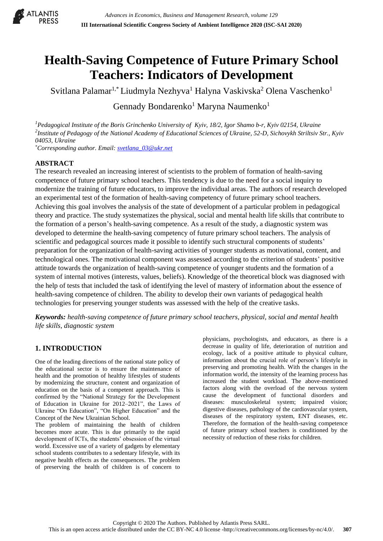

# **Health-Saving Competence of Future Primary School Teachers: Indicators of Development**

Svitlana Palamar<sup>1,\*</sup> Liudmyla Nezhyva<sup>1</sup> Halyna Vaskivska<sup>2</sup> Olena Vaschenko<sup>1</sup>

Gennady Bondarenko<sup>1</sup> Maryna Naumenko<sup>1</sup>

*<sup>1</sup>Pedagogical Institute of the Boris Grinchenko University of Kyiv, 18/2, Igor Shamo b-r, Kyiv 02154, Ukraine 2 Institute of Pedagogy of the National Academy of Educational Sciences of Ukraine, 52-D, Sichovykh Striltsiv Str., Kyiv 04053, Ukraine*

*\*Corresponding author. Email: [svetlana\\_03@ukr.net](mailto:svetlana_03@ukr.net)*

## **ABSTRACT**

The research revealed an increasing interest of scientists to the problem of formation of health-saving competence of future primary school teachers. This tendency is due to the need for a social inquiry to modernize the training of future educators, to improve the individual areas. The authors of research developed an experimental test of the formation of health-saving competency of future primary school teachers. Achieving this goal involves the analysis of the state of development of a particular problem in pedagogical theory and practice. The study systematizes the physical, social and mental health life skills that contribute to the formation of a person's health-saving competence. As a result of the study, a diagnostic system was developed to determine the health-saving competency of future primary school teachers. The analysis of scientific and pedagogical sources made it possible to identify such structural components of students' preparation for the organization of health-saving activities of younger students as motivational, content, and technological ones. The motivational component was assessed according to the criterion of students' positive attitude towards the organization of health-saving competence of younger students and the formation of a system of internal motives (interests, values, beliefs). Knowledge of the theoretical block was diagnosed with the help of tests that included the task of identifying the level of mastery of information about the essence of health-saving competence of children. The ability to develop their own variants of pedagogical health technologies for preserving younger students was assessed with the help of the creative tasks.

*Keywords: health-saving competence of future primary school teachers, physical, social and mental health life skills, diagnostic system*

# **1. INTRODUCTION**

One of the leading directions of the national state policy of the educational sector is to ensure the maintenance of health and the promotion of healthy lifestyles of students by modernizing the structure, content and organization of education on the basis of a competent approach. This is confirmed by the "National Strategy for the Development of Education in Ukraine for 2012–2021", the Laws of Ukraine "On Education", "On Higher Education" and the Concept of the New Ukrainian School.

The problem of maintaining the health of children becomes more acute. This is due primarily to the rapid development of ICTs, the students' obsession of the virtual world. Excessive use of a variety of gadgets by elementary school students contributes to a sedentary lifestyle, with its negative health effects as the consequences. The problem of preserving the health of children is of concern to

physicians, psychologists, and educators, as there is a decrease in quality of life, deterioration of nutrition and ecology, lack of a positive attitude to physical culture, information about the crucial role of person's lifestyle in preserving and promoting health. With the changes in the information world, the intensity of the learning process has increased the student workload. The above-mentioned factors along with the overload of the nervous system cause the development of functional disorders and diseases: musculoskeletal system; impaired vision; digestive diseases, pathology of the cardiovascular system, diseases of the respiratory system, ENT diseases, etc. Therefore, the formation of the health-saving competence of future primary school teachers is conditioned by the necessity of reduction of these risks for children.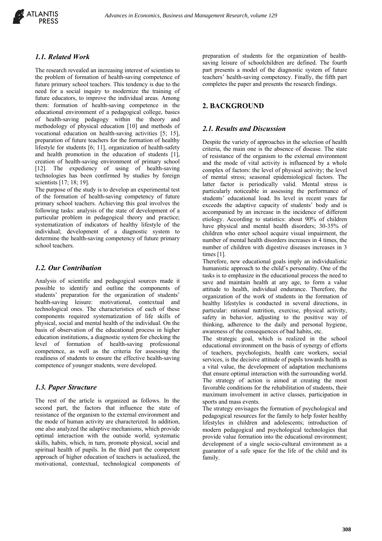

#### *1.1. Related Work*

The research revealed an increasing interest of scientists to the problem of formation of health-saving competence of future primary school teachers. This tendency is due to the need for a social inquiry to modernize the training of future educators, to improve the individual areas. Among them: formation of health-saving competence in the educational environment of a pedagogical college, basics of health-saving pedagogy within the theory and methodology of physical education [10] and methods of vocational education on health-saving activities [5; 15], preparation of future teachers for the formation of healthy lifestyle for students [6; 11], organization of health-safety and health promotion in the education of students [1], creation of health-saving environment of primary school [12]. The expediency of using of health-saving technologies has been confirmed by studies by foreign scientists [17; 18; 19].

The purpose of the study is to develop an experimental test of the formation of health-saving competency of future primary school teachers. Achieving this goal involves the following tasks: analysis of the state of development of a particular problem in pedagogical theory and practice; systematization of indicators of healthy lifestyle of the individual; development of a diagnostic system to determine the health-saving competency of future primary school teachers.

#### *1.2. Our Contribution*

Analysis of scientific and pedagogical sources made it possible to identify and outline the components of students' preparation for the organization of students' health-saving leisure: motivational, contextual and technological ones. The characteristics of each of these components required systematization of life skills of physical, social and mental health of the individual. On the basis of observation of the educational process in higher education institutions, a diagnostic system for checking the level of formation of health-saving professional competence, as well as the criteria for assessing the readiness of students to ensure the effective health-saving competence of younger students, were developed.

### *1.3. Paper Structure*

The rest of the article is organized as follows. In the second part, the factors that influence the state of resistance of the organism to the external environment and the mode of human activity are characterized. In addition, one also analyzed the adaptive mechanisms, which provide optimal interaction with the outside world, systematic skills, habits, which, in turn, promote physical, social and spiritual health of pupils. In the third part the competent approach of higher education of teachers is actualized, the motivational, contextual, technological components of

preparation of students for the organization of healthsaving leisure of schoolchildren are defined. The fourth part presents a model of the diagnostic system of future teachers' health-saving competency. Finally, the fifth part completes the paper and presents the research findings.

#### **2. BACKGROUND**

#### *2.1. Results and Discussion*

Despite the variety of approaches in the selection of health criteria, the main one is the absence of disease. The state of resistance of the organism to the external environment and the mode of vital activity is influenced by a whole complex of factors: the level of physical activity; the level of mental stress; seasonal epidemiological factors. The latter factor is periodically valid. Mental stress is particularly noticeable in assessing the performance of students' educational load. Its level in recent years far exceeds the adaptive capacity of students' body and is accompanied by an increase in the incidence of different etiology. According to statistics: about 90% of children have physical and mental health disorders; 30-35% of children who enter school acquire visual impairment, the number of mental health disorders increases in 4 times, the number of children with digestive diseases increases in 3 times [1].

Therefore, new educational goals imply an individualistic humanistic approach to the child's personality. One of the tasks is to emphasize in the educational process the need to save and maintain health at any age, to form a value attitude to health, individual endurance. Therefore, the organization of the work of students in the formation of healthy lifestyles is conducted in several directions, in particular: rational nutrition, exercise, physical activity, safety in behavior, adjusting to the positive way of thinking, adherence to the daily and personal hygiene, awareness of the consequences of bad habits, etc.

The strategic goal, which is realized in the school educational environment on the basis of synergy of efforts of teachers, psychologists, health care workers, social services, is the decisive attitude of pupils towards health as a vital value, the development of adaptation mechanisms that ensure optimal interaction with the surrounding world. The strategy of action is aimed at creating the most favorable conditions for the rehabilitation of students, their maximum involvement in active classes, participation in sports and mass events.

The strategy envisages the formation of psychological and pedagogical resources for the family to help foster healthy lifestyles in children and adolescents; introduction of modern pedagogical and psychological technologies that provide value formation into the educational environment; development of a single socio-cultural environment as a guarantor of a safe space for the life of the child and its family.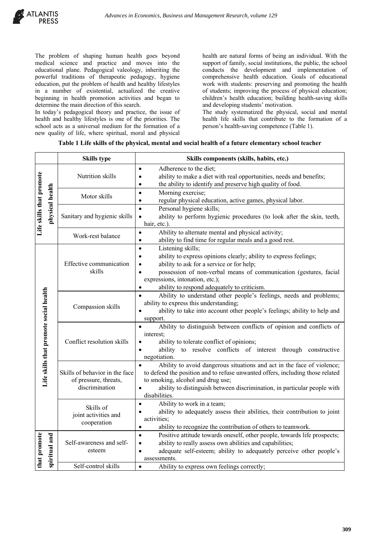The problem of shaping human health goes beyond medical science and practice and moves into the educational plane. Pedagogical valeology, inheriting the powerful traditions of therapeutic pedagogy, hygiene education, put the problem of health and healthy lifestyles in a number of existential, actualized the creative beginning in health promotion activities and began to determine the main direction of this search.

In today's pedagogical theory and practice, the issue of health and healthy lifestyles is one of the priorities. The school acts as a universal medium for the formation of a new quality of life, where spiritual, moral and physical

health are natural forms of being an individual. With the support of family, social institutions, the public, the school conducts the development and implementation of comprehensive health education. Goals of educational work with students: preserving and promoting the health of students; improving the process of physical education; children's health education; building health-saving skills and developing students' motivation.

The study systematized the physical, social and mental health life skills that contribute to the formation of a person's health-saving competence (Table 1).

|                          |                                        | <b>Skills type</b>                                                        | Skills components (skills, habits, etc.)                                                                                                                                                                                                                                                                                          |
|--------------------------|----------------------------------------|---------------------------------------------------------------------------|-----------------------------------------------------------------------------------------------------------------------------------------------------------------------------------------------------------------------------------------------------------------------------------------------------------------------------------|
| Life skills that promote | physical health                        | Nutrition skills                                                          | Adherence to the diet;<br>$\bullet$<br>ability to make a diet with real opportunities, needs and benefits;<br>$\bullet$<br>the ability to identify and preserve high quality of food.                                                                                                                                             |
|                          |                                        | Motor skills                                                              | Morning exercise;<br>$\bullet$<br>regular physical education, active games, physical labor.                                                                                                                                                                                                                                       |
|                          |                                        | Sanitary and hygienic skills                                              | Personal hygiene skills;<br>ability to perform hygienic procedures (to look after the skin, teeth,<br>$\bullet$<br>hair, etc.).                                                                                                                                                                                                   |
|                          |                                        | Work-rest balance                                                         | Ability to alternate mental and physical activity;<br>$\bullet$<br>ability to find time for regular meals and a good rest.<br>$\bullet$                                                                                                                                                                                           |
|                          | Life skills that promote social health | Effective communication<br>skills                                         | Listening skills;<br>$\bullet$<br>ability to express opinions clearly; ability to express feelings;<br>$\bullet$<br>ability to ask for a service or for help;<br>possession of non-verbal means of communication (gestures, facial<br>$\bullet$<br>expressions, intonation, etc.);<br>ability to respond adequately to criticism. |
|                          |                                        | Compassion skills                                                         | Ability to understand other people's feelings, needs and problems;<br>ability to express this understanding;<br>ability to take into account other people's feelings; ability to help and<br>support.                                                                                                                             |
|                          |                                        | Conflict resolution skills                                                | Ability to distinguish between conflicts of opinion and conflicts of<br>interest;<br>ability to tolerate conflict of opinions;<br>ability to resolve conflicts of interest through constructive<br>negotiation.                                                                                                                   |
|                          |                                        | Skills of behavior in the face<br>of pressure, threats,<br>discrimination | Ability to avoid dangerous situations and act in the face of violence;<br>to defend the position and to refuse unwanted offers, including those related<br>to smoking, alcohol and drug use;<br>ability to distinguish between discrimination, in particular people with<br>disabilities.                                         |
|                          |                                        | Skills of<br>joint activities and<br>cooperation                          | Ability to work in a team;<br>$\bullet$<br>ability to adequately assess their abilities, their contribution to joint<br>activities;<br>ability to recognize the contribution of others to teamwork.<br>$\bullet$                                                                                                                  |
| that promote             | spiritual and                          | Self-awareness and self-<br>esteem                                        | Positive attitude towards oneself, other people, towards life prospects;<br>$\bullet$<br>ability to really assess own abilities and capabilities;<br>$\bullet$<br>adequate self-esteem; ability to adequately perceive other people's<br>assessments.                                                                             |
|                          |                                        | Self-control skills                                                       | Ability to express own feelings correctly;                                                                                                                                                                                                                                                                                        |

#### **Table 1 Life skills of the physical, mental and social health of a future elementary school teacher**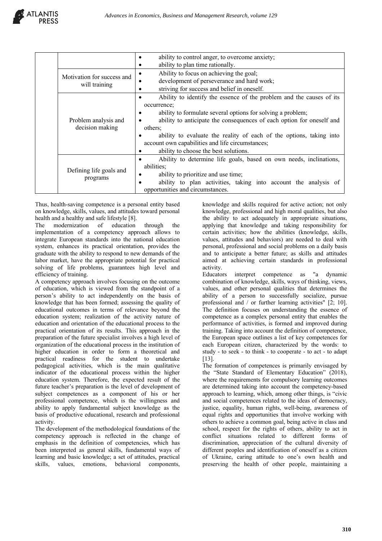|                            | ability to control anger, to overcome anxiety;                        |
|----------------------------|-----------------------------------------------------------------------|
|                            | ability to plan time rationally.                                      |
| Motivation for success and | Ability to focus on achieving the goal;                               |
| will training              | development of perseverance and hard work;                            |
|                            | striving for success and belief in oneself.                           |
|                            | Ability to identify the essence of the problem and the causes of its  |
|                            | occurrence;                                                           |
|                            | ability to formulate several options for solving a problem;           |
| Problem analysis and       | ability to anticipate the consequences of each option for oneself and |
| decision making            | others;                                                               |
|                            | ability to evaluate the reality of each of the options, taking into   |
|                            | account own capabilities and life circumstances;                      |
|                            | ability to choose the best solutions.                                 |
|                            | Ability to determine life goals, based on own needs, inclinations,    |
| Defining life goals and    | abilities:                                                            |
|                            | ability to prioritize and use time;                                   |
| programs                   | ability to plan activities, taking into account the analysis of       |
|                            | opportunities and circumstances.                                      |

Thus, health-saving competence is a personal entity based on knowledge, skills, values, and attitudes toward personal health and a healthy and safe lifestyle [8].

**ATLANTIS** 

The modernization of education through the implementation of a competency approach allows to integrate European standards into the national education system, enhances its practical orientation, provides the graduate with the ability to respond to new demands of the labor market, have the appropriate potential for practical solving of life problems, guarantees high level and efficiency of training.

A competency approach involves focusing on the outcome of education, which is viewed from the standpoint of a person's ability to act independently on the basis of knowledge that has been formed; assessing the quality of educational outcomes in terms of relevance beyond the education system; realization of the activity nature of education and orientation of the educational process to the practical orientation of its results. This approach in the preparation of the future specialist involves a high level of organization of the educational process in the institution of higher education in order to form a theoretical and practical readiness for the student to undertake pedagogical activities, which is the main qualitative indicator of the educational process within the higher education system. Therefore, the expected result of the future teacher's preparation is the level of development of subject competences as a component of his or her professional competence, which is the willingness and ability to apply fundamental subject knowledge as the basis of productive educational, research and professional activity.

The development of the methodological foundations of the competency approach is reflected in the change of emphasis in the definition of competencies, which has been interpreted as general skills, fundamental ways of learning and basic knowledge; a set of attitudes, practical skills, values, emotions, behavioral components,

knowledge and skills required for active action; not only knowledge, professional and high moral qualities, but also the ability to act adequately in appropriate situations, applying that knowledge and taking responsibility for certain activities; how the abilities (knowledge, skills, values, attitudes and behaviors) are needed to deal with personal, professional and social problems on a daily basis and to anticipate a better future; as skills and attitudes aimed at achieving certain standards in professional activity.

Educators interpret competence as "a dynamic combination of knowledge, skills, ways of thinking, views, values, and other personal qualities that determines the ability of a person to successfully socialize, pursue professional and / or further learning activities" [2; 10]. The definition focuses on understanding the essence of competence as a complex personal entity that enables the performance of activities, is formed and improved during training. Taking into account the definition of competence, the European space outlines a list of key competences for each European citizen, characterized by the words: to study - to seek - to think - to cooperate - to act - to adapt [13].

The formation of competences is primarily envisaged by the "State Standard of Elementary Education" (2018), where the requirements for compulsory learning outcomes are determined taking into account the competency-based approach to learning, which, among other things, is "civic and social competences related to the ideas of democracy, justice, equality, human rights, well-being, awareness of equal rights and opportunities that involve working with others to achieve a common goal, being active in class and school, respect for the rights of others, ability to act in conflict situations related to different forms of discrimination, appreciation of the cultural diversity of different peoples and identification of oneself as a citizen of Ukraine, caring attitude to one's own health and preserving the health of other people, maintaining a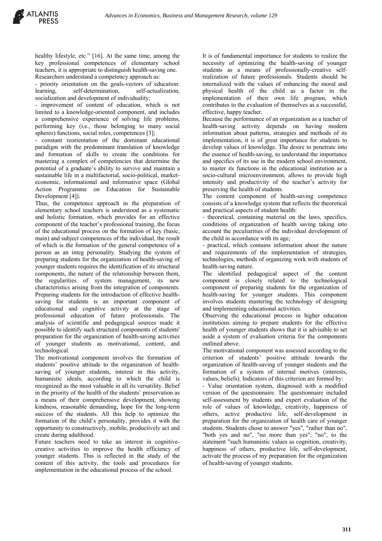healthy lifestyle, etc." [16]. At the same time, among the key professional competences of elementary school teachers, it is appropriate to distinguish health-saving one. Researchers understand a competency approach as:

- priority orientation on the goals-vectors of education: learning, self-determination, self-actualization, socialization and development of individuality;

- improvement of content of education, which is not limited to a knowledge-oriented component, and includes a comprehensive experience of solving life problems, performing key (i.e., those belonging to many social spheres) functions, social roles, competences [3];

- constant reorientation of the dominant educational paradigm with the predominant translation of knowledge and formation of skills to create the conditions for mastering a complex of competencies that determine the potential of a graduate's ability to survive and maintain a sustainable life in a multifactorial, socio-political, marketeconomic, informational and informative space (Global Action Programme on Education for Sustainable Development [4]).

Thus, the competence approach in the preparation of elementary school teachers is understood as a systematic and holistic formation, which provides for an effective component of the teacher's professional training, the focus of the educational process on the formation of key (basic, main) and subject competences of the individual, the result of which is the formation of the general competence of a person as an integ personality. Studying the system of preparing students for the organization of health-saving of younger students requires the identification of its structural components, the nature of the relationship between them, the regularities of system management, its new characteristics arising from the integration of components. Preparing students for the introduction of effective healthsaving for students is an important component of educational and cognitive activity at the stage of professional education of future professionals. The analysis of scientific and pedagogical sources made it possible to identify such structural components of students' preparation for the organization of health-saving activities of younger students as motivational, content, and technological.

The motivational component involves the formation of students' positive attitude to the organization of healthsaving of younger students, interest in this activity, humanistic ideals, according to which the child is recognized as the most valuable in all its versatility. Belief in the priority of the health of the students' preservation as a means of their comprehensive development, showing kindness, reasonable demanding, hope for the long-term success of the students. All this help to optimize the formation of the child's personality, provides it with the opportunity to constructively, mobile, productively act and create during adulthood.

Future teachers need to take an interest in cognitivecreative activities to improve the health efficiency of younger students. This is reflected in the study of the content of this activity, the tools and procedures for implementation in the educational process of the school.

It is of fundamental importance for students to realize the necessity of optimizing the health-saving of younger students as a means of professionally-creative selfrealization of future professionals. Students should be internalized with the values of enhancing the moral and physical health of the child as a factor in the implementation of their own life program, which contributes to the evaluation of themselves as a successful, effective, happy teacher.

Because the performance of an organization as a teacher of health-saving activity depends on having modern information about patterns, strategies and methods of its implementation, it is of great importance for students to develop values of knowledge. The desire to penetrate into the essence of health-saving, to understand the importance and specifics of its use in the modern school environment, to master its functions in the educational institution as a socio-cultural microenvironment, allows to provide high intensity and productivity of the teacher's activity for preserving the health of students.

The content component of health-saving competence consists of a knowledge system that reflects the theoretical and practical aspects of student health:

- theoretical, containing material on the laws, specifics, conditions of organization of health saving taking into account the peculiarities of the individual development of the child in accordance with its age;

- practical, which contains information about the nature and requirements of the implementation of strategies, technologies, methods of organizing work with students of health-saving nature.

The identified pedagogical aspect of the content component is closely related to the technological component of preparing students for the organization of health-saving for younger students. This component involves students mastering the technology of designing and implementing educational activities.

Observing the educational process in higher education institutions aiming to prepare students for the effective health of younger students shows that it is advisable to set aside a system of evaluation criteria for the components outlined above.

The motivational component was assessed according to the criterion of students' positive attitude towards the organization of health-saving of younger students and the formation of a system of internal motives (interests, values, beliefs). Indicators of this criterion are formed by:

- Value orientation system, diagnosed with a modified version of the questionnaire. The questionnaire included self-assessment by students and expert evaluation of the role of values of knowledge, creativity, happiness of others, active productive life, self-development in preparation for the organization of health care of younger students. Students chose to answer "yes", "rather than no", "both yes and no", "no more than yes", "no", to the statement "such humanistic values as cognition, creativity, happiness of others, productive life, self-development, activate the process of my preparation for the organization of health-saving of younger students.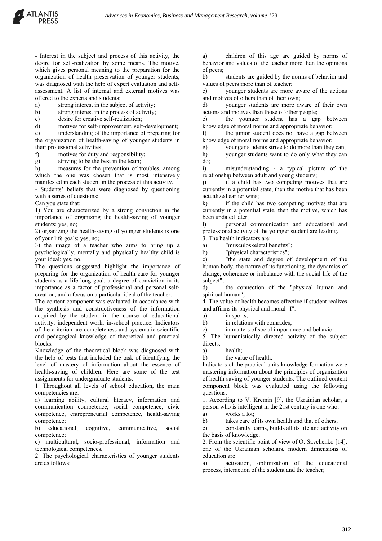- Interest in the subject and process of this activity, the desire for self-realization by some means. The motive, which gives personal meaning to the preparation for the organization of health preservation of younger students, was diagnosed with the help of expert evaluation and selfassessment. A list of internal and external motives was offered to the experts and students:

a) strong interest in the subject of activity;

b) strong interest in the process of activity;

c) desire for creative self-realization;

d) motives for self-improvement, self-development;

e) understanding of the importance of preparing for the organization of health-saving of younger students in their professional activities;

f) motives for duty and responsibility;

g) striving to be the best in the team;<br>h) measures for the prevention of the measures for the prevention of troubles, among which the one was chosen that is most intensively manifested in each student in the process of this activity.

- Students' beliefs that were diagnosed by questioning with a series of questions:

Can you state that:

1) You are characterized by a strong conviction in the importance of organizing the health-saving of younger students: yes, no;

2) organizing the health-saving of younger students is one of your life goals: yes, no;

3) the image of a teacher who aims to bring up a psychologically, mentally and physically healthy child is your ideal: yes, no.

The questions suggested highlight the importance of preparing for the organization of health care for younger students as a life-long goal, a degree of conviction in its importance as a factor of professional and personal selfcreation, and a focus on a particular ideal of the teacher.

The content component was evaluated in accordance with the synthesis and constructiveness of the information acquired by the student in the course of educational activity, independent work, in-school practice. Indicators of the criterion are completeness and systematic scientific and pedagogical knowledge of theoretical and practical blocks.

Knowledge of the theoretical block was diagnosed with the help of tests that included the task of identifying the level of mastery of information about the essence of health-saving of children. Here are some of the test assignments for undergraduate students:

1. Throughout all levels of school education, the main competencies are:

a) learning ability, cultural literacy, information and communication competence, social competence, civic competence, entrepreneurial competence, health-saving competence;

b) educational, cognitive, communicative, social competence;

c) multicultural, socio-professional, information and technological competences.

2. The psychological characteristics of younger students are as follows:

a) children of this age are guided by norms of behavior and values of the teacher more than the opinions of peers;

b) students are guided by the norms of behavior and values of peers more than of teacher;

c) younger students are more aware of the actions and motives of others than of their own;

d) younger students are more aware of their own actions and motives than those of other people;

e) the younger student has a gap between knowledge of moral norms and appropriate behavior;

f) the junior student does not have a gap between knowledge of moral norms and appropriate behavior;

g) younger students strive to do more than they can;

h) younger students want to do only what they can do;

i) misunderstanding - a typical picture of the relationship between adult and young students;

j) if a child has two competing motives that are currently in a potential state, then the motive that has been actualized earlier wins;

k) if the child has two competing motives that are currently in a potential state, then the motive, which has been updated later;

l) personal communication and educational and professional activity of the younger student are leading.

3. The health indicators are:

a) "musculoskeletal benefits";

b) "physical characteristics";

c) "the state and degree of development of the human body, the nature of its functioning, the dynamics of change, coherence or imbalance with the social life of the subject";

d) the connection of the "physical human and spiritual human";

4. The value of health becomes effective if student realizes and affirms its physical and moral "I":

a) in sports;

b) in relations with comrades;

c) in matters of social importance and behavior.

5. The humanistically directed activity of the subject directs:

a) health;

b) the value of health.

Indicators of the practical units knowledge formation were mastering information about the principles of organization of health-saving of younger students. The outlined content component block was evaluated using the following questions:

1. According to V. Kremin [9], the Ukrainian scholar, a person who is intelligent in the 21st century is one who:

a) works a lot;

b) takes care of its own health and that of others;

c) constantly learns, builds all its life and activity on the basis of knowledge.

2. From the scientific point of view of O. Savchenko [14], one of the Ukrainian scholars, modern dimensions of education are:

a) activation, optimization of the educational process, interaction of the student and the teacher;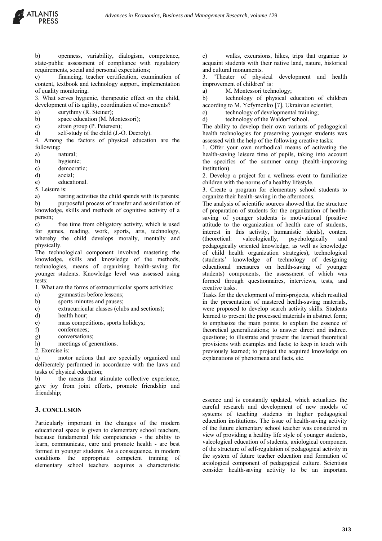b) openness, variability, dialogism, competence, state-public assessment of compliance with regulatory requirements, social and personal expectations;

c) financing, teacher certification, examination of content, textbook and technology support, implementation of quality monitoring.

3. What serves hygienic, therapeutic effect on the child, development of its agility, coordination of movements?

a) eurythmy (R. Steiner);

b) space education (M. Montessori);

c) strain group (P. Petersen);

d) self-study of the child (J.-O. Decroly).

4. Among the factors of physical education are the following:

a) natural;

b) hygienic;

c) democratic;

d) social;

e) educational.

5. Leisure is:

a) resting activities the child spends with its parents; b) purposeful process of transfer and assimilation of knowledge, skills and methods of cognitive activity of a person;

c) free time from obligatory activity, which is used for games, reading, work, sports, arts, technology, whereby the child develops morally, mentally and physically.

The technological component involved mastering the knowledge, skills and knowledge of the methods, technologies, means of organizing health-saving for younger students. Knowledge level was assessed using tests:

1. What are the forms of extracurricular sports activities:

a) gymnastics before lessons;

b) sports minutes and pauses;

c) extracurricular classes (clubs and sections);

d) health hour;

e) mass competitions, sports holidays;

f) conferences;

g) conversations;

h) meetings of generations.

2. Exercise is:

a) motor actions that are specially organized and deliberately performed in accordance with the laws and tasks of physical education;

b) the means that stimulate collective experience, give joy from joint efforts, promote friendship and friendship;

#### **3. CONCLUSION**

Particularly important in the changes of the modern educational space is given to elementary school teachers, because fundamental life competencies - the ability to learn, communicate, care and promote health - are best formed in younger students. As a consequence, in modern conditions the appropriate competent training of elementary school teachers acquires a characteristic

c) walks, excursions, hikes, trips that organize to acquaint students with their native land, nature, historical and cultural monuments.

3. "Theater of physical development and health improvement of children" is:

a) M. Montessori technology;

b) technology of physical education of children according to M. Yefymenko [7], Ukrainian scientist;

c) technology of developmental training;

d) technology of the Waldorf school.

The ability to develop their own variants of pedagogical health technologies for preserving younger students was assessed with the help of the following creative tasks:

1. Offer your own methodical means of activating the health-saving leisure time of pupils, taking into account the specifics of the summer camp (health-improving institution).

2. Develop a project for a wellness event to familiarize children with the norms of a healthy lifestyle.

3. Create a program for elementary school students to organize their health-saving in the afternoons.

The analysis of scientific sources showed that the structure of preparation of students for the organization of healthsaving of younger students is motivational (positive attitude to the organization of health care of students, interest in this activity, humanistic ideals), content (theoretical: valeologically, psychologically and pedagogically oriented knowledge, as well as knowledge of child health organization strategies), technological (students' knowledge of technology of designing educational measures on health-saving of younger students) components, the assessment of which was formed through questionnaires, interviews, tests, and creative tasks.

Tasks for the development of mini-projects, which resulted in the presentation of mastered health-saving materials, were proposed to develop search activity skills. Students learned to present the processed materials in abstract form; to emphasize the main points; to explain the essence of theoretical generalizations; to answer direct and indirect questions; to illustrate and present the learned theoretical provisions with examples and facts; to keep in touch with previously learned; to project the acquired knowledge on explanations of phenomena and facts, etc.

essence and is constantly updated, which actualizes the careful research and development of new models of systems of teaching students in higher pedagogical education institutions. The issue of health-saving activity of the future elementary school teacher was considered in view of providing a healthy life style of younger students, valeological education of students, axiological component of the structure of self-regulation of pedagogical activity in the system of future teacher education and formation of axiological component of pedagogical culture. Scientists consider health-saving activity to be an important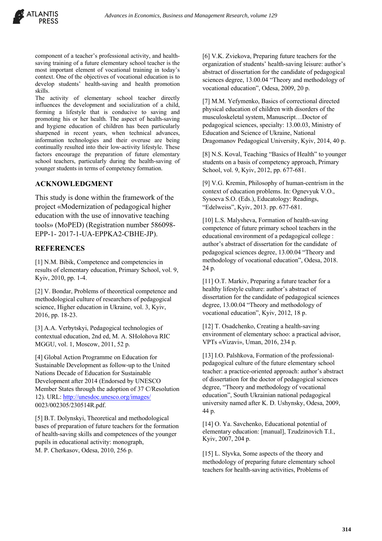

component of a teacher's professional activity, and healthsaving training of a future elementary school teacher is the most important element of vocational training in today's context. One of the objectives of vocational education is to develop students' health-saving and health promotion skills.

The activity of elementary school teacher directly influences the development and socialization of a child, forming a lifestyle that is conducive to saving and promoting his or her health. The aspect of health-saving and hygiene education of children has been particularly sharpened in recent years, when technical advances, information technologies and their overuse are being continually resulted into their low-activity lifestyle. These factors encourage the preparation of future elementary school teachers, particularly during the health-saving of younger students in terms of competency formation.

### **ACKNOWLEDGMENT**

This study is done within the framework of the project «Modernization of pedagogical higher education with the use of innovative teaching tools» (MoPED) (Registration number 586098- ЕРР-1- 2017-1-UA-EPPKA2-CBHE-JP).

#### **REFERENCES**

[1] N.M. Bibik, Competence and competencies in results of elementary education, Primary School, vol. 9, Kyiv, 2010, pp. 1-4.

[2] V. Bondar, Problems of theoretical competence and methodological culture of researchers of pedagogical science, Higher education in Ukraine, vol. 3, Kyiv, 2016, pp. 18-23.

[3] A.A. Verbytskyi, Pedagogical technologies of contextual education, 2nd ed, M. A. SHolohova RIC MGGU, vol. 1, Moscow, 2011, 52 p.

[4] Global Action Programme on Education for Sustainable Development as follow-up to the United Nations Decade of Education for Sustainable Development after 2014 (Endorsed by UNESCO Member States through the adoption of 37 C/Resolution 12). URL: http://unesdoc.unesco.org/images/ 0023/002305/230514R.pdf.

[5] B.T. Dolynskyi, Theoretical and methodological bases of preparation of future teachers for the formation of health-saving skills and competences of the younger pupils in educational activity: monograph, M. P. Cherkasov, Odesa, 2010, 256 p.

[6] V.K. Zviekova, Preparing future teachers for the organization of students' health-saving leisure: author's abstract of dissertation for the candidate of pedagogical sciences degree, 13.00.04 "Theory and methodology of vocational education", Odesa, 2009, 20 p.

[7] M.M. Yefymenko, Basics of correctional directed physical education of children with disorders of the musculoskeletal system, Manuscript…Doctor of pedagogical sciences, specialty: 13.00.03, Ministry of Education and Science of Ukraine, National Dragomanov Pedagogical University, Kyiv, 2014, 40 p.

[8] N.S. Koval, Teaching "Basics of Health" to younger students on a basis of competency approach, Primary School, vol. 9, Kyiv, 2012, pp. 677-681.

[9] V.G. Kremin, Philosophy of human-centrism in the context of education problems. In: Ognevyuk V.O., Sysoeva S.O. (Eds.), Educatology: Readings, "Edelweiss", Kyiv, 2013. pp. 677-681.

[10] L.S. Malysheva, Formation of health-saving competence of future primary school teachers in the educational environment of a pedagogical college : author's abstract of dissertation for the candidate of pedagogical sciences degree, 13.00.04 "Theory and methodology of vocational education", Odesa, 2018. 24 p.

[11] O.T. Markiv, Preparing a future teacher for a healthy lifestyle culture: author's abstract of dissertation for the candidate of pedagogical sciences degree, 13.00.04 "Theory and methodology of vocational education", Kyiv, 2012, 18 p.

[12] T. Osadchenko, Creating a health-saving environment of elementary schoo: a practical advisor, VPTs «Vizavi», Uman, 2016, 234 p.

[13] I.O. Palshkova, Formation of the professionalpedagogical culture of the future elementary school teacher: a practice-oriented approach: author's abstract of dissertation for the doctor of pedagogical sciences degree, "Theory and methodology of vocational education", South Ukrainian national pedagogical university named after K. D. Ushynsky, Odesa, 2009, 44 p.

[14] O. Ya. Savchenko, Educational potential of elementary education: [manual], Tzudzinovich T.I., Kyiv, 2007, 204 p.

[15] L. Slyvka, Some aspects of the theory and methodology of preparing future elementary school teachers for health-saving activities, Problems of